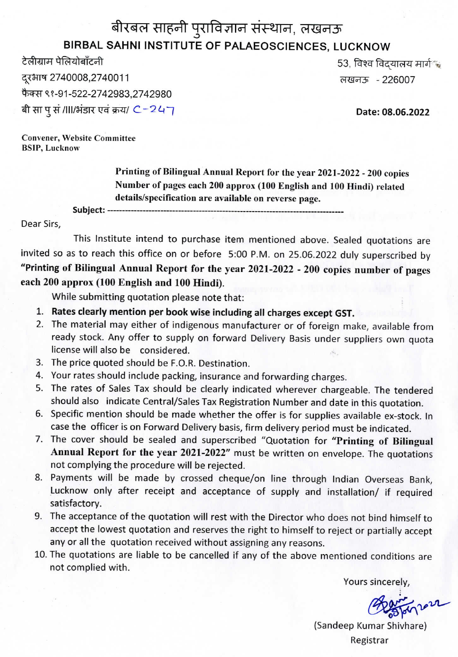## बीरबल साहनी पुराविज्ञान संस्थान, लखनऊ **BIRBAL SAHNI INSTITUTE OF PALAEOSCIENCES, LUCKNOW**

टेलीग्राम पेलियोबॉंटनी 2740008,2740011 <H^<H> -226007 फैक्स ९१-91-522-2742983,2742980 बी सा पू सं /III/भंडार एवं क्रय/ C-247

53, विश्व विदयालय मार्ग

**Date: 08.06.2022**

Convener, Website Committee **BSIP,** Lucknow

> **Printing of Bilingual Annual Report for the year 2021-2022 -200 copies Number of pages each 200 approx (100 English and 100 Hindi) related details/specification are available on reverse page.**

Subject: --

Dear Sirs,

This Institute intend to purchase item mentioned above. Sealed quotations are invited so as to reach this office on or before 5:00 P.M. on 25.06.2022 duly superscribed by "Printing of Bilingual Annual Report for the year 2021-2022 - 200 copies number of pages each 200 approx (100 English and 100 Hindi).

While submitting quotation please note that:

- **1. Rates clearly mention per book** wise **including all charges except GST.**
- 2. The material may either of indigenous manufacturer or of foreign make, available from ready stock. Any offer to supply on forward Delivery Basis under suppliers own quota license will also be considered.
- 3. The price quoted should be F.O.R. Destination.
- 4. Your rates should include packing, insurance and forwarding charges.
- 5. The rates of Sales Tax should be clearly indicated wherever chargeable. The tendered should also indicate Central/Sales Tax Registration Number and date in this quotation.
- 6. Specific mention should be made whether the offer is for supplies available ex-stock. In case the officer is on Forward Delivery basis, firm delivery period must be indicated.
- 7. The cover should be sealed and superscribed "Quotation for **"Printing of Bilingual Annual Report for the year 2021-2022"** must be written on envelope. The quotations not complying the procedure will be rejected.
- 8. Payments will be made by crossed cheque/on line through Indian Overseas Bank, Lucknow only after receipt and acceptance of supply and installation/ if required satisfactory.
- 9. The acceptance of the quotation will rest with the Director who does not bind himself to accept the lowest quotation and reserves the right to himself to reject or partially accept any or all the quotation received without assigning any reasons.
- 10. The quotations are liable to be cancelled if any of the above mentioned conditions are not complied with.

Yours sincerely,

inver

(Sandeep Kumar Shivhare) Registrar